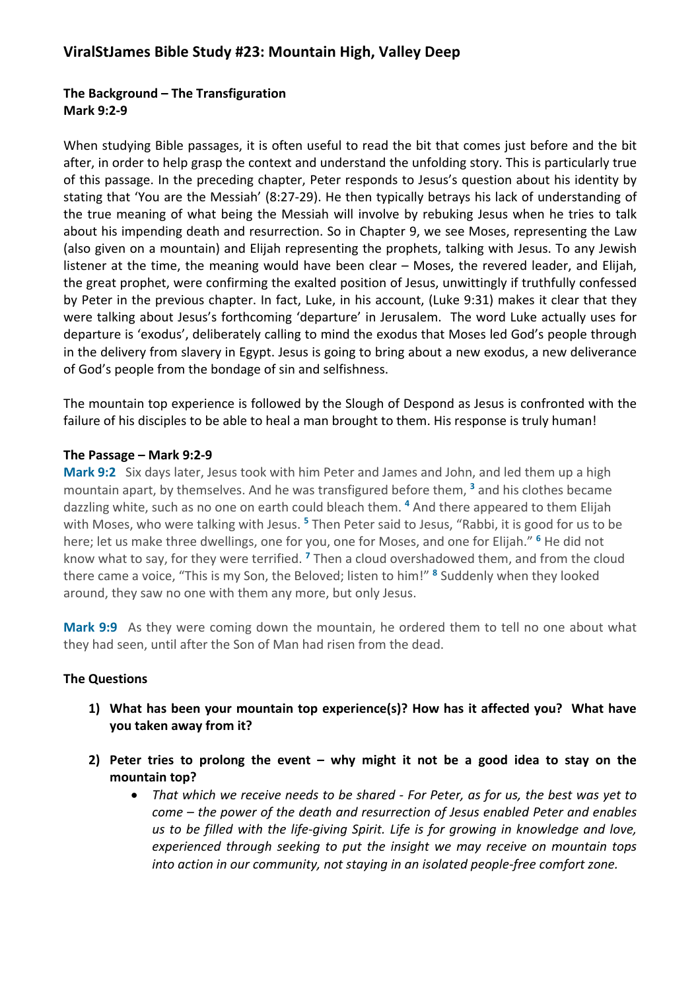## **The Background – The Transfiguration Mark 9:2-9**

When studying Bible passages, it is often useful to read the bit that comes just before and the bit after, in order to help grasp the context and understand the unfolding story. This is particularly true of this passage. In the preceding chapter, Peter responds to Jesus's question about his identity by stating that 'You are the Messiah' (8:27-29). He then typically betrays his lack of understanding of the true meaning of what being the Messiah will involve by rebuking Jesus when he tries to talk about his impending death and resurrection. So in Chapter 9, we see Moses, representing the Law (also given on a mountain) and Elijah representing the prophets, talking with Jesus. To any Jewish listener at the time, the meaning would have been clear – Moses, the revered leader, and Elijah, the great prophet, were confirming the exalted position of Jesus, unwittingly if truthfully confessed by Peter in the previous chapter. In fact, Luke, in his account, (Luke 9:31) makes it clear that they were talking about Jesus's forthcoming 'departure' in Jerusalem. The word Luke actually uses for departure is 'exodus', deliberately calling to mind the exodus that Moses led God's people through in the delivery from slavery in Egypt. Jesus is going to bring about a new exodus, a new deliverance of God's people from the bondage of sin and selfishness.

The mountain top experience is followed by the Slough of Despond as Jesus is confronted with the failure of his disciples to be able to heal a man brought to them. His response is truly human!

## **The Passage – Mark 9:2-9**

**Mark 9:2** Six days later, Jesus took with him Peter and James and John, and led them up a high mountain apart, by themselves. And he was transfigured before them, **<sup>3</sup>** and his clothes became dazzling white, such as no one on earth could bleach them. **<sup>4</sup>** And there appeared to them Elijah with Moses, who were talking with Jesus. **<sup>5</sup>** Then Peter said to Jesus, "Rabbi, it is good for us to be here; let us make three dwellings, one for you, one for Moses, and one for Elijah." **<sup>6</sup>** He did not know what to say, for they were terrified. **<sup>7</sup>** Then a cloud overshadowed them, and from the cloud there came a voice, "This is my Son, the Beloved; listen to him!" **<sup>8</sup>** Suddenly when they looked around, they saw no one with them any more, but only Jesus.

**Mark 9:9** As they were coming down the mountain, he ordered them to tell no one about what they had seen, until after the Son of Man had risen from the dead.

## **The Questions**

- **1) What has been your mountain top experience(s)? How has it affected you? What have you taken away from it?**
- **2) Peter tries to prolong the event – why might it not be a good idea to stay on the mountain top?** 
	- *That which we receive needs to be shared - For Peter, as for us, the best was yet to come – the power of the death and resurrection of Jesus enabled Peter and enables us to be filled with the life-giving Spirit. Life is for growing in knowledge and love, experienced through seeking to put the insight we may receive on mountain tops into action in our community, not staying in an isolated people-free comfort zone.*